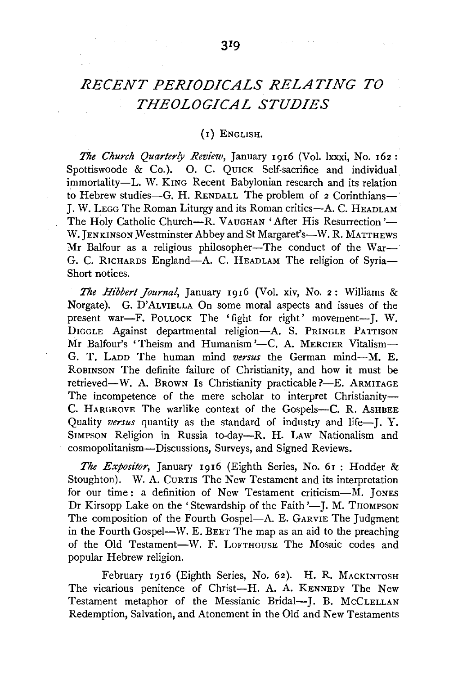## *RECENT PERIODICALS RELATING TO THEOLOGICAL STUDIES*

## (I) ENGLISH.

*The Church Quarterly Review,* January 1916 (Vol. lxxxi, No. 162 : Spottiswoode & Co.). O. C. QUICK Self-sacrifice and individual immortality-L. W. KING Recent Babylonian research and its relation to Hebrew studies-G. H. RENDALL The problem of  $2$  Corinthians-J. W. LEGG The Roman Liturgy and its Roman critics-A. C. HEADLAM The Holy Catholic Church-R. VAUGHAN 'After His Resurrection'-W. JENKINSON Westminster Abbey and St Margaret's-W. R. MATTHEWS Mr Balfour as a religious philosopher-The conduct of the War-G. C. RICHARDS England-A. C. HEADLAM The religion of Syria-Short notices.

*The Hibbert Journal,* January 1916 (Vol. xiv, No. 2: Williams & Norgate). G. D'ALVIELLA On some moral aspects and issues of the present war-F. POLLOCK The 'fight for right' movement-J. W. DIGGLE Against departmental religion-A. S. PRINGLE PATTISON Mr Balfour's 'Theism and Humanism'-C. A. MERCIER Vitalism-G. T. LADD The human mind *versus* the German mind-M. E. ROBINSON The definite failure of Christianity, and how it must be retrieved-W. A. BROWN Is Christianity practicable ?-- E. ARMITAGE The incompetence of the mere scholar to interpret Christianity-C. HARGROVE The warlike context of the Gospels-C. R. ASHBEE Quality *versus* quantity as the standard of industry and life-J. Y. SIMPSON Religion in Russia to-day-R. H. LAW Nationalism and cosmopolitanism-Discussions, Surveys, and Signed Reviews.

*The Expositor,* January 1916 (Eighth Series, No. 61 : Hodder & Stoughton). W. A. CURTIS The New Testament and its interpretation for our time: a definition of New Testament criticism-M. JONES Dr Kirsopp Lake on the 'Stewardship of the Faith '-J. M. THOMPSON The composition of the Fourth Gospel-A. E. GARVIE The Judgment in the Fourth Gospel-W. E. BEET The map as an aid to the preaching of the Old Testament-W. F. LOFTHOUSE The Mosaic codes and popular Hebrew religion.

February 1916 (Eighth Series, No. 62). H. R. MACKINTOSH The vicarious penitence of Christ-H. A. A. KENNEDY The New Testament metaphor of the Messianic Bridal-J. B. McCLELLAN Redemption, Salvation, and Atonement in the Old and New Testaments